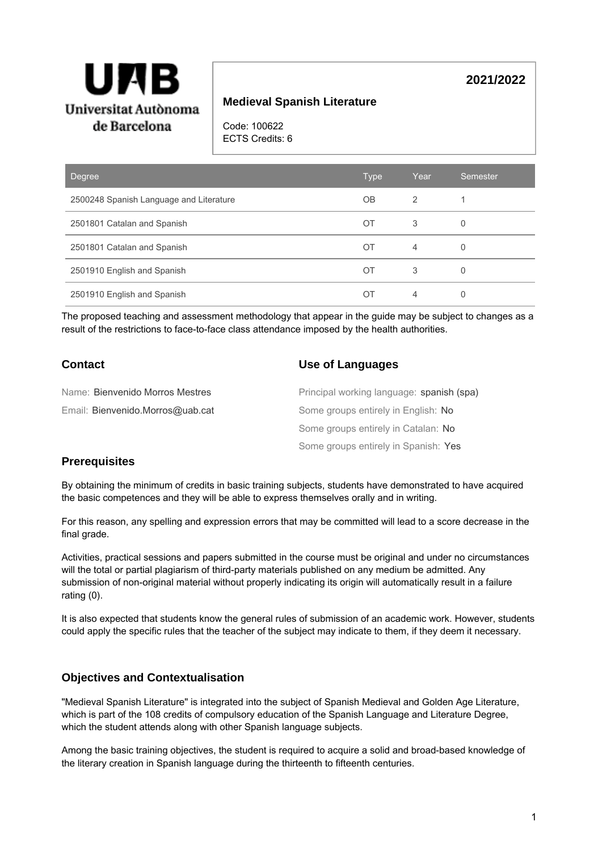

# **Medieval Spanish Literature**

Code: 100622 ECTS Credits: 6

| Degree                                  | <b>Type</b> | Year | Semester |
|-----------------------------------------|-------------|------|----------|
| 2500248 Spanish Language and Literature | <b>OB</b>   | 2    |          |
| 2501801 Catalan and Spanish             | OT          | 3    | 0        |
| 2501801 Catalan and Spanish             | ОT          | 4    | 0        |
| 2501910 English and Spanish             | OT          | 3    | 0        |
| 2501910 English and Spanish             | ОT          | 4    | 0        |

The proposed teaching and assessment methodology that appear in the guide may be subject to changes as a result of the restrictions to face-to-face class attendance imposed by the health authorities.

### **Contact**

#### **Use of Languages**

| Name: Bienvenido Morros Mestres  | Principal working language: spanish (spa) |
|----------------------------------|-------------------------------------------|
| Email: Bienvenido.Morros@uab.cat | Some groups entirely in English: No       |
|                                  | Some groups entirely in Catalan: No       |
|                                  | Some groups entirely in Spanish: Yes      |

#### **Prerequisites**

By obtaining the minimum of credits in basic training subjects, students have demonstrated to have acquired the basic competences and they will be able to express themselves orally and in writing.

For this reason, any spelling and expression errors that may be committed will lead to a score decrease in the final grade.

Activities, practical sessions and papers submitted in the course must be original and under no circumstances will the total or partial plagiarism of third-party materials published on any medium be admitted. Any submission of non-original material without properly indicating its origin will automatically result in a failure rating (0).

It is also expected that students know the general rules of submission of an academic work. However, students could apply the specific rules that the teacher of the subject may indicate to them, if they deem it necessary.

#### **Objectives and Contextualisation**

"Medieval Spanish Literature" is integrated into the subject of Spanish Medieval and Golden Age Literature, which is part of the 108 credits of compulsory education of the Spanish Language and Literature Degree, which the student attends along with other Spanish language subjects.

Among the basic training objectives, the student is required to acquire a solid and broad-based knowledge of the literary creation in Spanish language during the thirteenth to fifteenth centuries.

**2021/2022**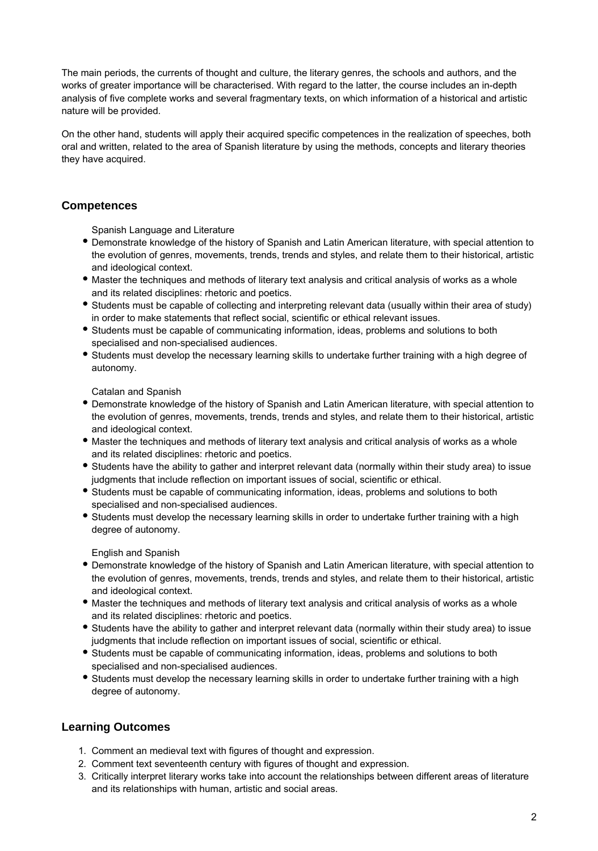The main periods, the currents of thought and culture, the literary genres, the schools and authors, and the works of greater importance will be characterised. With regard to the latter, the course includes an in-depth analysis of five complete works and several fragmentary texts, on which information of a historical and artistic nature will be provided.

On the other hand, students will apply their acquired specific competences in the realization of speeches, both oral and written, related to the area of Spanish literature by using the methods, concepts and literary theories they have acquired.

# **Competences**

Spanish Language and Literature

- Demonstrate knowledge of the history of Spanish and Latin American literature, with special attention to the evolution of genres, movements, trends, trends and styles, and relate them to their historical, artistic and ideological context.
- Master the techniques and methods of literary text analysis and critical analysis of works as a whole and its related disciplines: rhetoric and poetics.
- Students must be capable of collecting and interpreting relevant data (usually within their area of study) in order to make statements that reflect social, scientific or ethical relevant issues.
- Students must be capable of communicating information, ideas, problems and solutions to both specialised and non-specialised audiences.
- Students must develop the necessary learning skills to undertake further training with a high degree of autonomy.

Catalan and Spanish

- Demonstrate knowledge of the history of Spanish and Latin American literature, with special attention to the evolution of genres, movements, trends, trends and styles, and relate them to their historical, artistic and ideological context.
- Master the techniques and methods of literary text analysis and critical analysis of works as a whole and its related disciplines: rhetoric and poetics.
- Students have the ability to gather and interpret relevant data (normally within their study area) to issue judgments that include reflection on important issues of social, scientific or ethical.
- Students must be capable of communicating information, ideas, problems and solutions to both specialised and non-specialised audiences.
- Students must develop the necessary learning skills in order to undertake further training with a high degree of autonomy.

English and Spanish

- Demonstrate knowledge of the history of Spanish and Latin American literature, with special attention to the evolution of genres, movements, trends, trends and styles, and relate them to their historical, artistic and ideological context.
- Master the techniques and methods of literary text analysis and critical analysis of works as a whole and its related disciplines: rhetoric and poetics.
- Students have the ability to gather and interpret relevant data (normally within their study area) to issue judgments that include reflection on important issues of social, scientific or ethical.
- Students must be capable of communicating information, ideas, problems and solutions to both specialised and non-specialised audiences.
- Students must develop the necessary learning skills in order to undertake further training with a high degree of autonomy.

# **Learning Outcomes**

- 1. Comment an medieval text with figures of thought and expression.
- 2. Comment text seventeenth century with figures of thought and expression.
- 3. Critically interpret literary works take into account the relationships between different areas of literature and its relationships with human, artistic and social areas.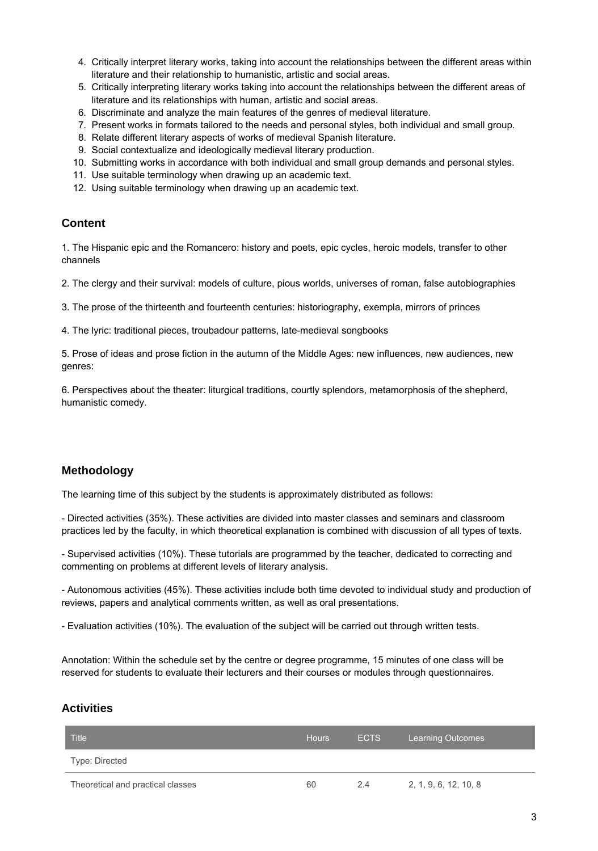- 4. Critically interpret literary works, taking into account the relationships between the different areas within literature and their relationship to humanistic, artistic and social areas.
- 5. Critically interpreting literary works taking into account the relationships between the different areas of literature and its relationships with human, artistic and social areas.
- 6. Discriminate and analyze the main features of the genres of medieval literature.
- 7. Present works in formats tailored to the needs and personal styles, both individual and small group.
- 8. Relate different literary aspects of works of medieval Spanish literature.
- 9. Social contextualize and ideologically medieval literary production.
- 10. Submitting works in accordance with both individual and small group demands and personal styles.
- 11. Use suitable terminology when drawing up an academic text.
- 12. Using suitable terminology when drawing up an academic text.

### **Content**

1. The Hispanic epic and the Romancero: history and poets, epic cycles, heroic models, transfer to other channels

2. The clergy and their survival: models of culture, pious worlds, universes of roman, false autobiographies

3. The prose of the thirteenth and fourteenth centuries: historiography, exempla, mirrors of princes

4. The lyric: traditional pieces, troubadour patterns, late-medieval songbooks

5. Prose of ideas and prose fiction in the autumn of the Middle Ages: new influences, new audiences, new genres:

6. Perspectives about the theater: liturgical traditions, courtly splendors, metamorphosis of the shepherd, humanistic comedy.

# **Methodology**

The learning time of this subject by the students is approximately distributed as follows:

- Directed activities (35%). These activities are divided into master classes and seminars and classroom practices led by the faculty, in which theoretical explanation is combined with discussion of all types of texts.

- Supervised activities (10%). These tutorials are programmed by the teacher, dedicated to correcting and commenting on problems at different levels of literary analysis.

- Autonomous activities (45%). These activities include both time devoted to individual study and production of reviews, papers and analytical comments written, as well as oral presentations.

- Evaluation activities (10%). The evaluation of the subject will be carried out through written tests.

Annotation: Within the schedule set by the centre or degree programme, 15 minutes of one class will be reserved for students to evaluate their lecturers and their courses or modules through questionnaires.

# **Activities**

| <b>Title</b>                      | <b>Hours</b> | <b>ECTS</b> | <b>Learning Outcomes</b> |
|-----------------------------------|--------------|-------------|--------------------------|
| Type: Directed                    |              |             |                          |
| Theoretical and practical classes | 60           | 2.4         | 2, 1, 9, 6, 12, 10, 8    |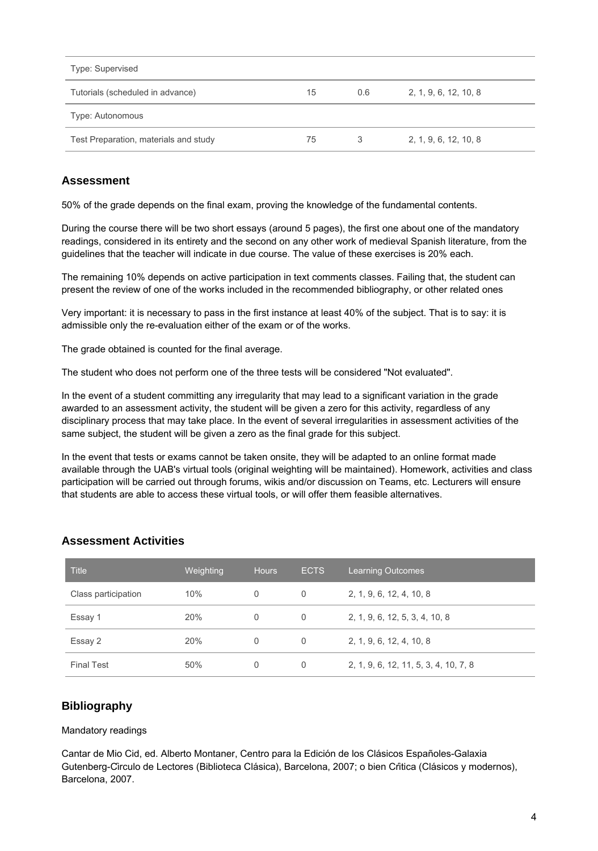| Type: Supervised                      |    |     |                       |
|---------------------------------------|----|-----|-----------------------|
| Tutorials (scheduled in advance)      | 15 | 0.6 | 2, 1, 9, 6, 12, 10, 8 |
| Type: Autonomous                      |    |     |                       |
| Test Preparation, materials and study | 75 |     | 2, 1, 9, 6, 12, 10, 8 |

# **Assessment**

50% of the grade depends on the final exam, proving the knowledge of the fundamental contents.

During the course there will be two short essays (around 5 pages), the first one about one of the mandatory readings, considered in its entirety and the second on any other work of medieval Spanish literature, from the guidelines that the teacher will indicate in due course. The value of these exercises is 20% each.

The remaining 10% depends on active participation in text comments classes. Failing that, the student can present the review of one of the works included in the recommended bibliography, or other related ones

Very important: it is necessary to pass in the first instance at least 40% of the subject. That is to say: it is admissible only the re-evaluation either of the exam or of the works.

The grade obtained is counted for the final average.

The student who does not perform one of the three tests will be considered "Not evaluated".

In the event of a student committing any irregularity that may lead to a significant variation in the grade awarded to an assessment activity, the student will be given a zero for this activity, regardless of any disciplinary process that may take place. In the event of several irregularities in assessment activities of the same subject, the student will be given a zero as the final grade for this subject.

In the event that tests or exams cannot be taken onsite, they will be adapted to an online format made available through the UAB's virtual tools (original weighting will be maintained). Homework, activities and class participation will be carried out through forums, wikis and/or discussion on Teams, etc. Lecturers will ensure that students are able to access these virtual tools, or will offer them feasible alternatives.

| <b>Title</b>        | Weighting | <b>Hours</b> | <b>ECTS</b> | <b>Learning Outcomes</b>              |
|---------------------|-----------|--------------|-------------|---------------------------------------|
| Class participation | 10%       | 0            | 0           | 2, 1, 9, 6, 12, 4, 10, 8              |
| Essay 1             | 20%       | 0            | 0           | 2, 1, 9, 6, 12, 5, 3, 4, 10, 8        |
| Essay 2             | 20%       | 0            | 0           | 2, 1, 9, 6, 12, 4, 10, 8              |
| <b>Final Test</b>   | 50%       | 0            | 0           | 2, 1, 9, 6, 12, 11, 5, 3, 4, 10, 7, 8 |

#### **Assessment Activities**

#### **Bibliography**

#### Mandatory readings

Cantar de Mio Cid, ed. Alberto Montaner, Centro para la Edición de los Clásicos Españoles-Galaxia Gutenberg-Círculo de Lectores (Biblioteca Clásica), Barcelona, 2007; o bien Crítica (Clásicos y modernos), Barcelona, 2007.